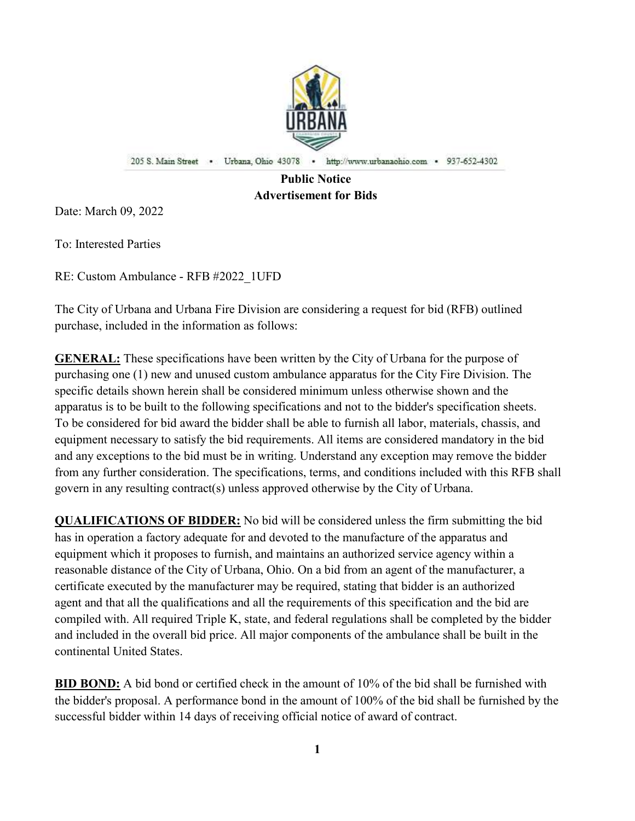

205 S. Main Street . Urbana, Ohio 43078 . http://www.urbanaohio.com . 937-652-4302

# Public Notice Advertisement for Bids

Date: March 09, 2022

To: Interested Parties

RE: Custom Ambulance - RFB #2022\_1UFD

The City of Urbana and Urbana Fire Division are considering a request for bid (RFB) outlined purchase, included in the information as follows:

GENERAL: These specifications have been written by the City of Urbana for the purpose of purchasing one (1) new and unused custom ambulance apparatus for the City Fire Division. The specific details shown herein shall be considered minimum unless otherwise shown and the apparatus is to be built to the following specifications and not to the bidder's specification sheets. To be considered for bid award the bidder shall be able to furnish all labor, materials, chassis, and equipment necessary to satisfy the bid requirements. All items are considered mandatory in the bid and any exceptions to the bid must be in writing. Understand any exception may remove the bidder from any further consideration. The specifications, terms, and conditions included with this RFB shall govern in any resulting contract(s) unless approved otherwise by the City of Urbana.

QUALIFICATIONS OF BIDDER: No bid will be considered unless the firm submitting the bid has in operation a factory adequate for and devoted to the manufacture of the apparatus and equipment which it proposes to furnish, and maintains an authorized service agency within a reasonable distance of the City of Urbana, Ohio. On a bid from an agent of the manufacturer, a certificate executed by the manufacturer may be required, stating that bidder is an authorized agent and that all the qualifications and all the requirements of this specification and the bid are compiled with. All required Triple K, state, and federal regulations shall be completed by the bidder and included in the overall bid price. All major components of the ambulance shall be built in the continental United States.

BID BOND: A bid bond or certified check in the amount of 10% of the bid shall be furnished with the bidder's proposal. A performance bond in the amount of 100% of the bid shall be furnished by the successful bidder within 14 days of receiving official notice of award of contract.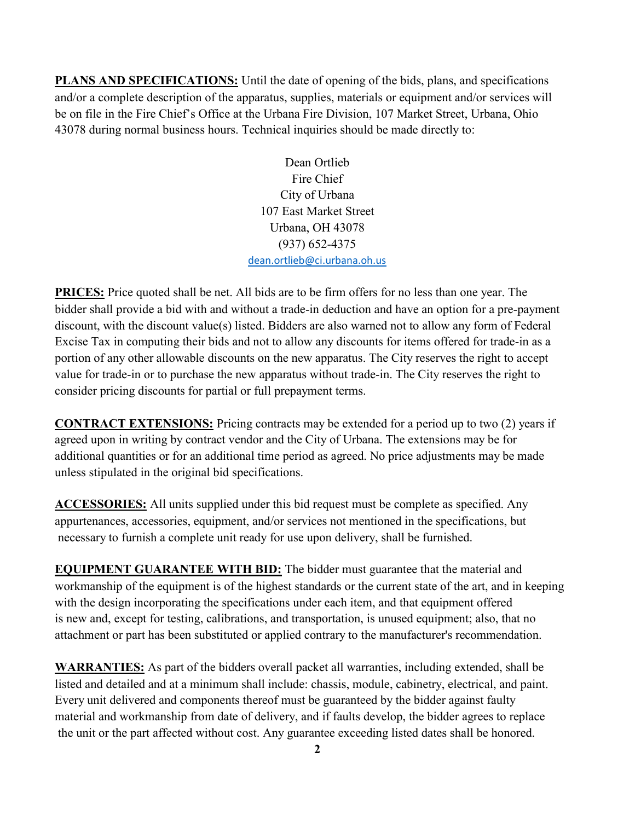PLANS AND SPECIFICATIONS: Until the date of opening of the bids, plans, and specifications and/or a complete description of the apparatus, supplies, materials or equipment and/or services will be on file in the Fire Chief's Office at the Urbana Fire Division, 107 Market Street, Urbana, Ohio 43078 during normal business hours. Technical inquiries should be made directly to:

> Dean Ortlieb Fire Chief City of Urbana 107 East Market Street Urbana, OH 43078 (937) 652-4375 dean.ortlieb@ci.urbana.oh.us

PRICES: Price quoted shall be net. All bids are to be firm offers for no less than one year. The bidder shall provide a bid with and without a trade-in deduction and have an option for a pre-payment discount, with the discount value(s) listed. Bidders are also warned not to allow any form of Federal Excise Tax in computing their bids and not to allow any discounts for items offered for trade-in as a portion of any other allowable discounts on the new apparatus. The City reserves the right to accept value for trade-in or to purchase the new apparatus without trade-in. The City reserves the right to consider pricing discounts for partial or full prepayment terms.

CONTRACT EXTENSIONS: Pricing contracts may be extended for a period up to two (2) years if agreed upon in writing by contract vendor and the City of Urbana. The extensions may be for additional quantities or for an additional time period as agreed. No price adjustments may be made unless stipulated in the original bid specifications.

ACCESSORIES: All units supplied under this bid request must be complete as specified. Any appurtenances, accessories, equipment, and/or services not mentioned in the specifications, but necessary to furnish a complete unit ready for use upon delivery, shall be furnished.

**EQUIPMENT GUARANTEE WITH BID:** The bidder must guarantee that the material and workmanship of the equipment is of the highest standards or the current state of the art, and in keeping with the design incorporating the specifications under each item, and that equipment offered is new and, except for testing, calibrations, and transportation, is unused equipment; also, that no attachment or part has been substituted or applied contrary to the manufacturer's recommendation.

WARRANTIES: As part of the bidders overall packet all warranties, including extended, shall be listed and detailed and at a minimum shall include: chassis, module, cabinetry, electrical, and paint. Every unit delivered and components thereof must be guaranteed by the bidder against faulty material and workmanship from date of delivery, and if faults develop, the bidder agrees to replace the unit or the part affected without cost. Any guarantee exceeding listed dates shall be honored.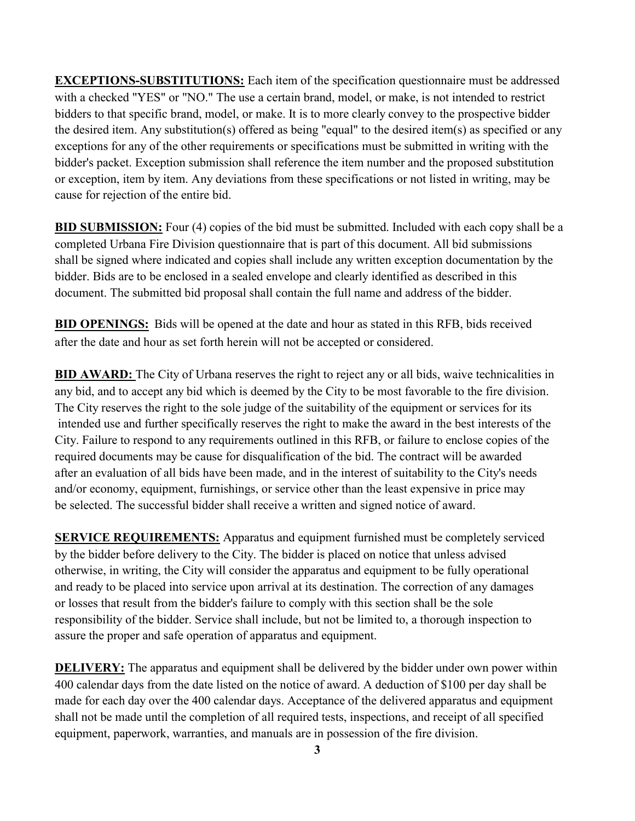EXCEPTIONS-SUBSTITUTIONS: Each item of the specification questionnaire must be addressed with a checked "YES" or "NO." The use a certain brand, model, or make, is not intended to restrict bidders to that specific brand, model, or make. It is to more clearly convey to the prospective bidder the desired item. Any substitution(s) offered as being "equal" to the desired item(s) as specified or any exceptions for any of the other requirements or specifications must be submitted in writing with the bidder's packet. Exception submission shall reference the item number and the proposed substitution or exception, item by item. Any deviations from these specifications or not listed in writing, may be cause for rejection of the entire bid.

BID SUBMISSION: Four (4) copies of the bid must be submitted. Included with each copy shall be a completed Urbana Fire Division questionnaire that is part of this document. All bid submissions shall be signed where indicated and copies shall include any written exception documentation by the bidder. Bids are to be enclosed in a sealed envelope and clearly identified as described in this document. The submitted bid proposal shall contain the full name and address of the bidder.

BID OPENINGS: Bids will be opened at the date and hour as stated in this RFB, bids received after the date and hour as set forth herein will not be accepted or considered.

BID AWARD: The City of Urbana reserves the right to reject any or all bids, waive technicalities in any bid, and to accept any bid which is deemed by the City to be most favorable to the fire division. The City reserves the right to the sole judge of the suitability of the equipment or services for its intended use and further specifically reserves the right to make the award in the best interests of the City. Failure to respond to any requirements outlined in this RFB, or failure to enclose copies of the required documents may be cause for disqualification of the bid. The contract will be awarded after an evaluation of all bids have been made, and in the interest of suitability to the City's needs and/or economy, equipment, furnishings, or service other than the least expensive in price may be selected. The successful bidder shall receive a written and signed notice of award.

SERVICE REQUIREMENTS: Apparatus and equipment furnished must be completely serviced by the bidder before delivery to the City. The bidder is placed on notice that unless advised otherwise, in writing, the City will consider the apparatus and equipment to be fully operational and ready to be placed into service upon arrival at its destination. The correction of any damages or losses that result from the bidder's failure to comply with this section shall be the sole responsibility of the bidder. Service shall include, but not be limited to, a thorough inspection to assure the proper and safe operation of apparatus and equipment.

**DELIVERY:** The apparatus and equipment shall be delivered by the bidder under own power within 400 calendar days from the date listed on the notice of award. A deduction of \$100 per day shall be made for each day over the 400 calendar days. Acceptance of the delivered apparatus and equipment shall not be made until the completion of all required tests, inspections, and receipt of all specified equipment, paperwork, warranties, and manuals are in possession of the fire division.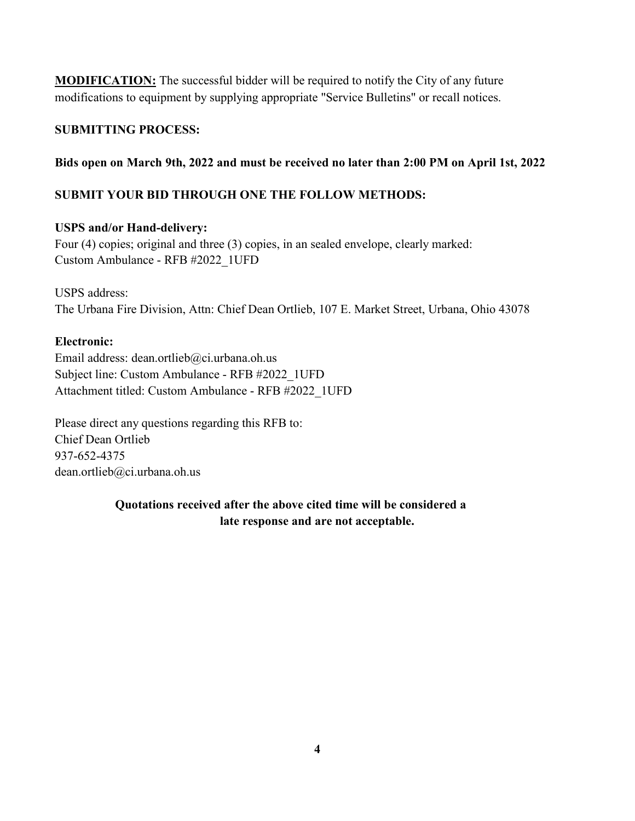**MODIFICATION:** The successful bidder will be required to notify the City of any future modifications to equipment by supplying appropriate "Service Bulletins" or recall notices.

## SUBMITTING PROCESS:

## Bids open on March 9th, 2022 and must be received no later than 2:00 PM on April 1st, 2022

# SUBMIT YOUR BID THROUGH ONE THE FOLLOW METHODS:

## USPS and/or Hand-delivery:

Four (4) copies; original and three (3) copies, in an sealed envelope, clearly marked: Custom Ambulance - RFB #2022\_1UFD

# USPS address: The Urbana Fire Division, Attn: Chief Dean Ortlieb, 107 E. Market Street, Urbana, Ohio 43078

## Electronic:

Email address: dean.ortlieb@ci.urbana.oh.us Subject line: Custom Ambulance - RFB #2022\_1UFD Attachment titled: Custom Ambulance - RFB #2022\_1UFD

Please direct any questions regarding this RFB to: Chief Dean Ortlieb 937-652-4375 dean.ortlieb@ci.urbana.oh.us

# Quotations received after the above cited time will be considered a late response and are not acceptable.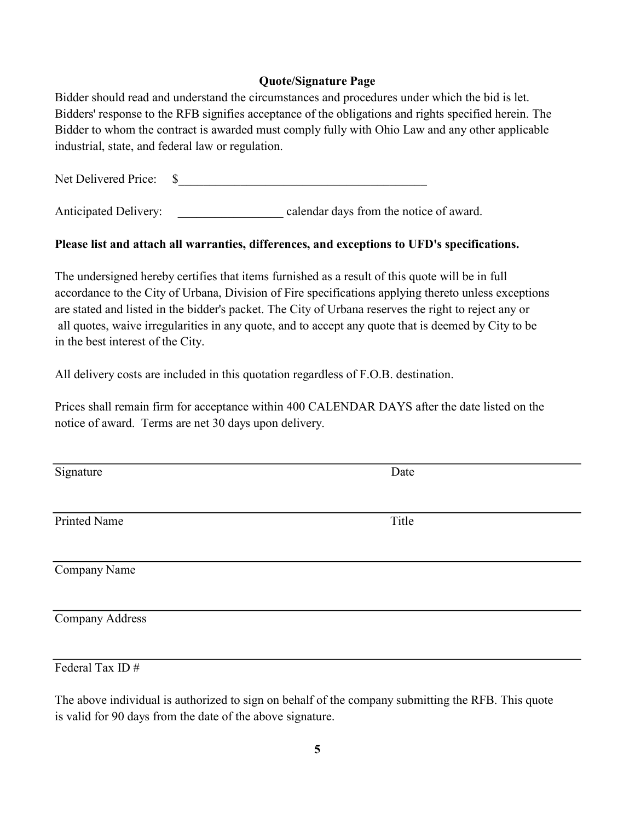#### Quote/Signature Page

Bidder should read and understand the circumstances and procedures under which the bid is let. Bidders' response to the RFB signifies acceptance of the obligations and rights specified herein. The Bidder to whom the contract is awarded must comply fully with Ohio Law and any other applicable industrial, state, and federal law or regulation.

Net Delivered Price: \$\_\_\_\_\_\_\_\_\_\_\_\_\_\_\_\_\_\_\_\_\_\_\_\_\_\_\_\_\_\_\_\_\_\_\_\_\_\_\_\_

Anticipated Delivery: calendar days from the notice of award.

## Please list and attach all warranties, differences, and exceptions to UFD's specifications.

The undersigned hereby certifies that items furnished as a result of this quote will be in full accordance to the City of Urbana, Division of Fire specifications applying thereto unless exceptions are stated and listed in the bidder's packet. The City of Urbana reserves the right to reject any or all quotes, waive irregularities in any quote, and to accept any quote that is deemed by City to be in the best interest of the City.

All delivery costs are included in this quotation regardless of F.O.B. destination.

Prices shall remain firm for acceptance within 400 CALENDAR DAYS after the date listed on the notice of award. Terms are net 30 days upon delivery.

Printed Name Title

Signature Date

Company Name

Company Address

Federal Tax ID #

The above individual is authorized to sign on behalf of the company submitting the RFB. This quote is valid for 90 days from the date of the above signature.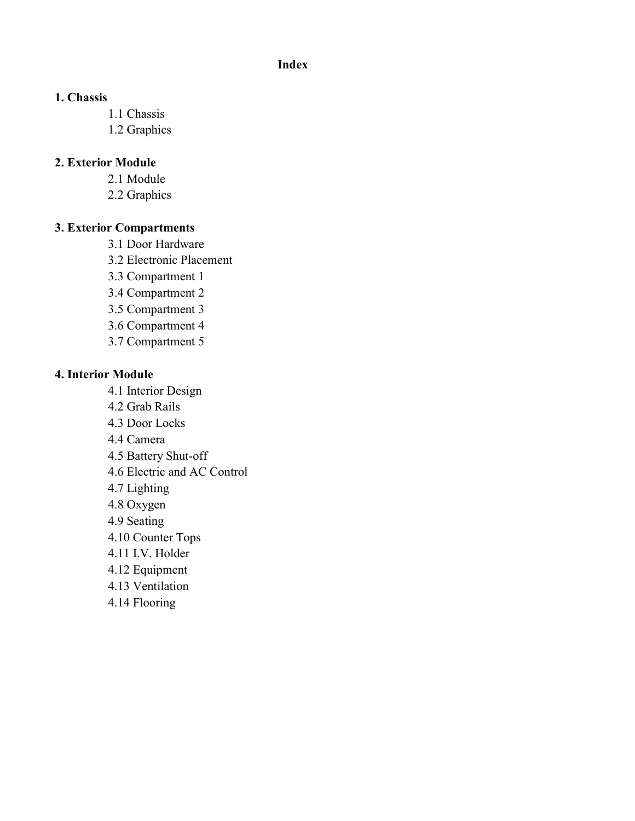### Index

### 1. Chassis

- 1.1 Chassis
- 1.2 Graphics

### 2. Exterior Module

- 2.1 Module
- 2.2 Graphics

#### 3. Exterior Compartments

- 3.1 Door Hardware
- 3.2 Electronic Placement
- 3.3 Compartment 1
- 3.4 Compartment 2
- 3.5 Compartment 3
- 3.6 Compartment 4
- 3.7 Compartment 5

#### 4. Interior Module

- 4.1 Interior Design
- 4.2 Grab Rails
- 4.3 Door Locks
- 4.4 Camera
- 4.5 Battery Shut-off
- 4.6 Electric and AC Control
- 4.7 Lighting
- 4.8 Oxygen
- 4.9 Seating
- 4.10 Counter Tops
- 4.11 I.V. Holder
- 4.12 Equipment
- 4.13 Ventilation
- 4.14 Flooring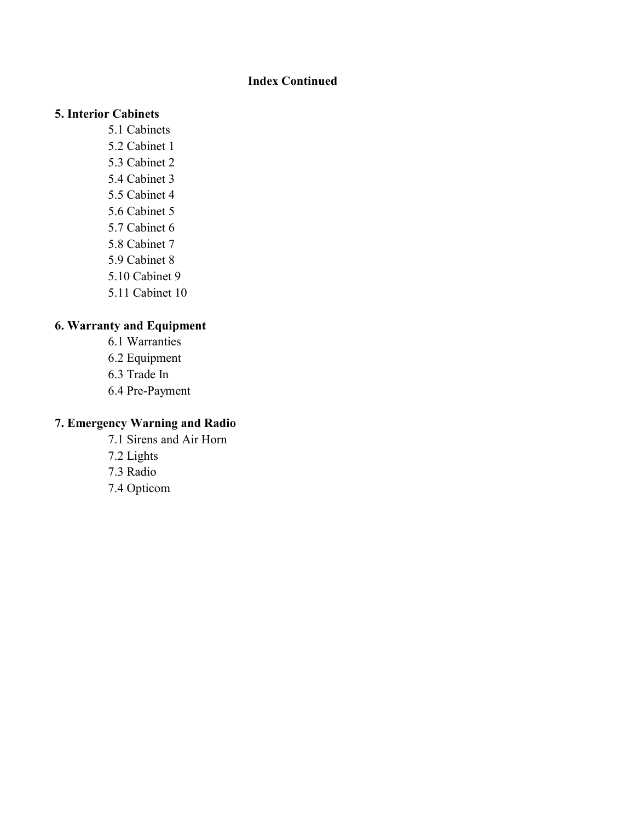## Index Continued

#### 5. Interior Cabinets

- 5.1 Cabinets
- 5.2 Cabinet 1
- 5.3 Cabinet 2
- 5.4 Cabinet 3
- 5.5 Cabinet 4
- 5.6 Cabinet 5
- 5.7 Cabinet 6
- 5.8 Cabinet 7
- 5.9 Cabinet 8
- 5.10 Cabinet 9
- 5.11 Cabinet 10

# 6. Warranty and Equipment

- 6.1 Warranties 6.2 Equipment 6.3 Trade In
- 6.4 Pre-Payment

# 7. Emergency Warning and Radio

7.1 Sirens and Air Horn 7.2 Lights 7.3 Radio 7.4 Opticom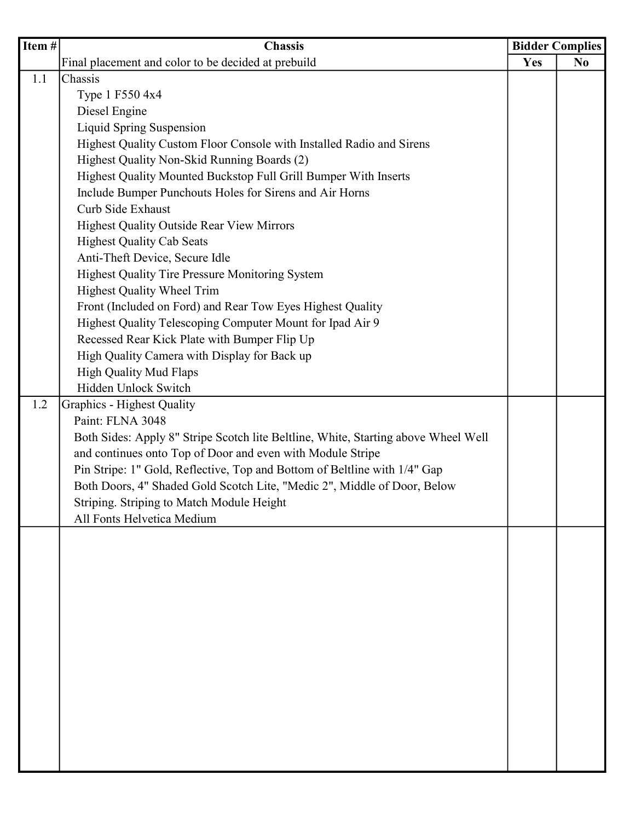| Item # | <b>Chassis</b>                                                                     |     | <b>Bidder Complies</b> |  |
|--------|------------------------------------------------------------------------------------|-----|------------------------|--|
|        | Final placement and color to be decided at prebuild                                | Yes | N <sub>0</sub>         |  |
| 1.1    | Chassis                                                                            |     |                        |  |
|        | Type 1 F550 4x4                                                                    |     |                        |  |
|        | Diesel Engine                                                                      |     |                        |  |
|        | Liquid Spring Suspension                                                           |     |                        |  |
|        | Highest Quality Custom Floor Console with Installed Radio and Sirens               |     |                        |  |
|        | Highest Quality Non-Skid Running Boards (2)                                        |     |                        |  |
|        | Highest Quality Mounted Buckstop Full Grill Bumper With Inserts                    |     |                        |  |
|        | Include Bumper Punchouts Holes for Sirens and Air Horns                            |     |                        |  |
|        | Curb Side Exhaust                                                                  |     |                        |  |
|        | <b>Highest Quality Outside Rear View Mirrors</b>                                   |     |                        |  |
|        | <b>Highest Quality Cab Seats</b>                                                   |     |                        |  |
|        | Anti-Theft Device, Secure Idle                                                     |     |                        |  |
|        | Highest Quality Tire Pressure Monitoring System                                    |     |                        |  |
|        | Highest Quality Wheel Trim                                                         |     |                        |  |
|        | Front (Included on Ford) and Rear Tow Eyes Highest Quality                         |     |                        |  |
|        | Highest Quality Telescoping Computer Mount for Ipad Air 9                          |     |                        |  |
|        | Recessed Rear Kick Plate with Bumper Flip Up                                       |     |                        |  |
|        | High Quality Camera with Display for Back up                                       |     |                        |  |
|        | High Quality Mud Flaps                                                             |     |                        |  |
|        | Hidden Unlock Switch                                                               |     |                        |  |
| 1.2    | <b>Graphics - Highest Quality</b>                                                  |     |                        |  |
|        | Paint: FLNA 3048                                                                   |     |                        |  |
|        | Both Sides: Apply 8" Stripe Scotch lite Beltline, White, Starting above Wheel Well |     |                        |  |
|        | and continues onto Top of Door and even with Module Stripe                         |     |                        |  |
|        | Pin Stripe: 1" Gold, Reflective, Top and Bottom of Beltline with 1/4" Gap          |     |                        |  |
|        | Both Doors, 4" Shaded Gold Scotch Lite, "Medic 2", Middle of Door, Below           |     |                        |  |
|        | Striping. Striping to Match Module Height                                          |     |                        |  |
|        | All Fonts Helvetica Medium                                                         |     |                        |  |
|        |                                                                                    |     |                        |  |
|        |                                                                                    |     |                        |  |
|        |                                                                                    |     |                        |  |
|        |                                                                                    |     |                        |  |
|        |                                                                                    |     |                        |  |
|        |                                                                                    |     |                        |  |
|        |                                                                                    |     |                        |  |
|        |                                                                                    |     |                        |  |
|        |                                                                                    |     |                        |  |
|        |                                                                                    |     |                        |  |
|        |                                                                                    |     |                        |  |
|        |                                                                                    |     |                        |  |
|        |                                                                                    |     |                        |  |
|        |                                                                                    |     |                        |  |
|        |                                                                                    |     |                        |  |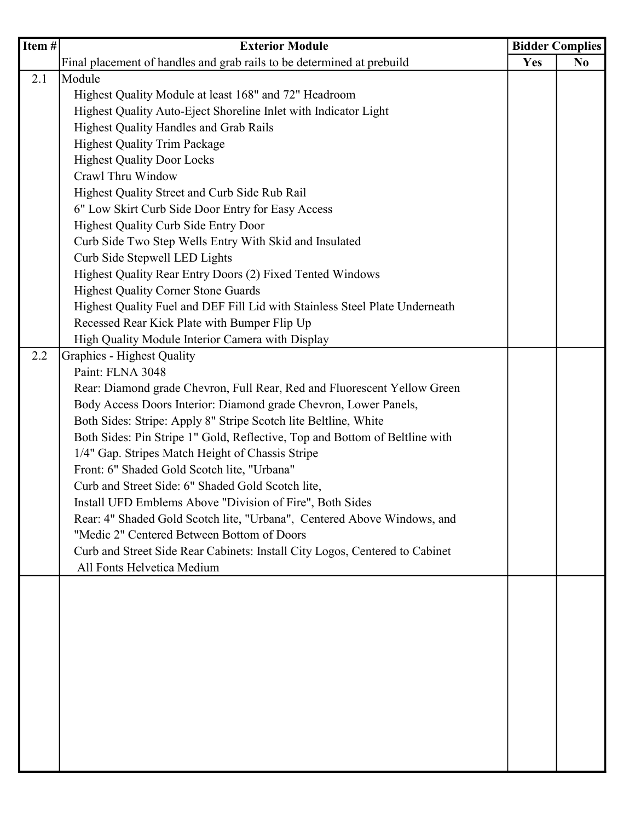| $\sqrt{\text{Item}}$ # | <b>Exterior Module</b>                                                      | <b>Bidder Complies</b> |                |
|------------------------|-----------------------------------------------------------------------------|------------------------|----------------|
|                        | Final placement of handles and grab rails to be determined at prebuild      | <b>Yes</b>             | N <sub>0</sub> |
| 2.1                    | Module                                                                      |                        |                |
|                        | Highest Quality Module at least 168" and 72" Headroom                       |                        |                |
|                        | Highest Quality Auto-Eject Shoreline Inlet with Indicator Light             |                        |                |
|                        | <b>Highest Quality Handles and Grab Rails</b>                               |                        |                |
|                        | <b>Highest Quality Trim Package</b>                                         |                        |                |
|                        | <b>Highest Quality Door Locks</b>                                           |                        |                |
|                        | Crawl Thru Window                                                           |                        |                |
|                        | Highest Quality Street and Curb Side Rub Rail                               |                        |                |
|                        | 6" Low Skirt Curb Side Door Entry for Easy Access                           |                        |                |
|                        | <b>Highest Quality Curb Side Entry Door</b>                                 |                        |                |
|                        | Curb Side Two Step Wells Entry With Skid and Insulated                      |                        |                |
|                        | Curb Side Stepwell LED Lights                                               |                        |                |
|                        | Highest Quality Rear Entry Doors (2) Fixed Tented Windows                   |                        |                |
|                        | <b>Highest Quality Corner Stone Guards</b>                                  |                        |                |
|                        | Highest Quality Fuel and DEF Fill Lid with Stainless Steel Plate Underneath |                        |                |
|                        | Recessed Rear Kick Plate with Bumper Flip Up                                |                        |                |
|                        | High Quality Module Interior Camera with Display                            |                        |                |
| 2.2                    | <b>Graphics - Highest Quality</b>                                           |                        |                |
|                        | Paint: FLNA 3048                                                            |                        |                |
|                        | Rear: Diamond grade Chevron, Full Rear, Red and Fluorescent Yellow Green    |                        |                |
|                        | Body Access Doors Interior: Diamond grade Chevron, Lower Panels,            |                        |                |
|                        | Both Sides: Stripe: Apply 8" Stripe Scotch lite Beltline, White             |                        |                |
|                        | Both Sides: Pin Stripe 1" Gold, Reflective, Top and Bottom of Beltline with |                        |                |
|                        | 1/4" Gap. Stripes Match Height of Chassis Stripe                            |                        |                |
|                        | Front: 6" Shaded Gold Scotch lite, "Urbana"                                 |                        |                |
|                        | Curb and Street Side: 6" Shaded Gold Scotch lite,                           |                        |                |
|                        | Install UFD Emblems Above "Division of Fire", Both Sides                    |                        |                |
|                        | Rear: 4" Shaded Gold Scotch lite, "Urbana", Centered Above Windows, and     |                        |                |
|                        | "Medic 2" Centered Between Bottom of Doors                                  |                        |                |
|                        | Curb and Street Side Rear Cabinets: Install City Logos, Centered to Cabinet |                        |                |
|                        | All Fonts Helvetica Medium                                                  |                        |                |
|                        |                                                                             |                        |                |
|                        |                                                                             |                        |                |
|                        |                                                                             |                        |                |
|                        |                                                                             |                        |                |
|                        |                                                                             |                        |                |
|                        |                                                                             |                        |                |
|                        |                                                                             |                        |                |
|                        |                                                                             |                        |                |
|                        |                                                                             |                        |                |
|                        |                                                                             |                        |                |
|                        |                                                                             |                        |                |
|                        |                                                                             |                        |                |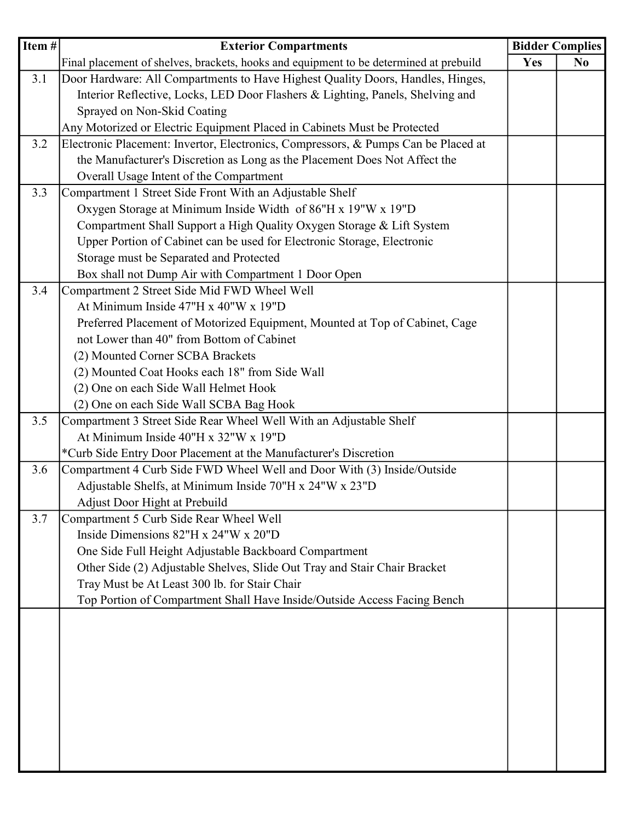| $\overline{\text{Item}}$ # | <b>Exterior Compartments</b>                                                           | <b>Bidder Complies</b> |                |
|----------------------------|----------------------------------------------------------------------------------------|------------------------|----------------|
|                            | Final placement of shelves, brackets, hooks and equipment to be determined at prebuild | Yes                    | N <sub>0</sub> |
| 3.1                        | Door Hardware: All Compartments to Have Highest Quality Doors, Handles, Hinges,        |                        |                |
|                            | Interior Reflective, Locks, LED Door Flashers & Lighting, Panels, Shelving and         |                        |                |
|                            | Sprayed on Non-Skid Coating                                                            |                        |                |
|                            | Any Motorized or Electric Equipment Placed in Cabinets Must be Protected               |                        |                |
| 3.2                        | Electronic Placement: Invertor, Electronics, Compressors, & Pumps Can be Placed at     |                        |                |
|                            | the Manufacturer's Discretion as Long as the Placement Does Not Affect the             |                        |                |
|                            | Overall Usage Intent of the Compartment                                                |                        |                |
| 3.3                        | Compartment 1 Street Side Front With an Adjustable Shelf                               |                        |                |
|                            | Oxygen Storage at Minimum Inside Width of 86"H x 19"W x 19"D                           |                        |                |
|                            | Compartment Shall Support a High Quality Oxygen Storage & Lift System                  |                        |                |
|                            | Upper Portion of Cabinet can be used for Electronic Storage, Electronic                |                        |                |
|                            | Storage must be Separated and Protected                                                |                        |                |
|                            | Box shall not Dump Air with Compartment 1 Door Open                                    |                        |                |
| 3.4                        | Compartment 2 Street Side Mid FWD Wheel Well                                           |                        |                |
|                            | At Minimum Inside 47"H x 40"W x 19"D                                                   |                        |                |
|                            | Preferred Placement of Motorized Equipment, Mounted at Top of Cabinet, Cage            |                        |                |
|                            | not Lower than 40" from Bottom of Cabinet                                              |                        |                |
|                            | (2) Mounted Corner SCBA Brackets                                                       |                        |                |
|                            | (2) Mounted Coat Hooks each 18" from Side Wall                                         |                        |                |
|                            | (2) One on each Side Wall Helmet Hook                                                  |                        |                |
|                            | (2) One on each Side Wall SCBA Bag Hook                                                |                        |                |
| 3.5                        | Compartment 3 Street Side Rear Wheel Well With an Adjustable Shelf                     |                        |                |
|                            | At Minimum Inside 40"H x 32"W x 19"D                                                   |                        |                |
|                            | *Curb Side Entry Door Placement at the Manufacturer's Discretion                       |                        |                |
| 3.6                        | Compartment 4 Curb Side FWD Wheel Well and Door With (3) Inside/Outside                |                        |                |
|                            | Adjustable Shelfs, at Minimum Inside 70"H x 24"W x 23"D                                |                        |                |
|                            | Adjust Door Hight at Prebuild                                                          |                        |                |
| 3.7                        | Compartment 5 Curb Side Rear Wheel Well                                                |                        |                |
|                            | Inside Dimensions $82$ "H x $24$ "W x $20$ "D                                          |                        |                |
|                            | One Side Full Height Adjustable Backboard Compartment                                  |                        |                |
|                            | Other Side (2) Adjustable Shelves, Slide Out Tray and Stair Chair Bracket              |                        |                |
|                            | Tray Must be At Least 300 lb. for Stair Chair                                          |                        |                |
|                            | Top Portion of Compartment Shall Have Inside/Outside Access Facing Bench               |                        |                |
|                            |                                                                                        |                        |                |
|                            |                                                                                        |                        |                |
|                            |                                                                                        |                        |                |
|                            |                                                                                        |                        |                |
|                            |                                                                                        |                        |                |
|                            |                                                                                        |                        |                |
|                            |                                                                                        |                        |                |
|                            |                                                                                        |                        |                |
|                            |                                                                                        |                        |                |
|                            |                                                                                        |                        |                |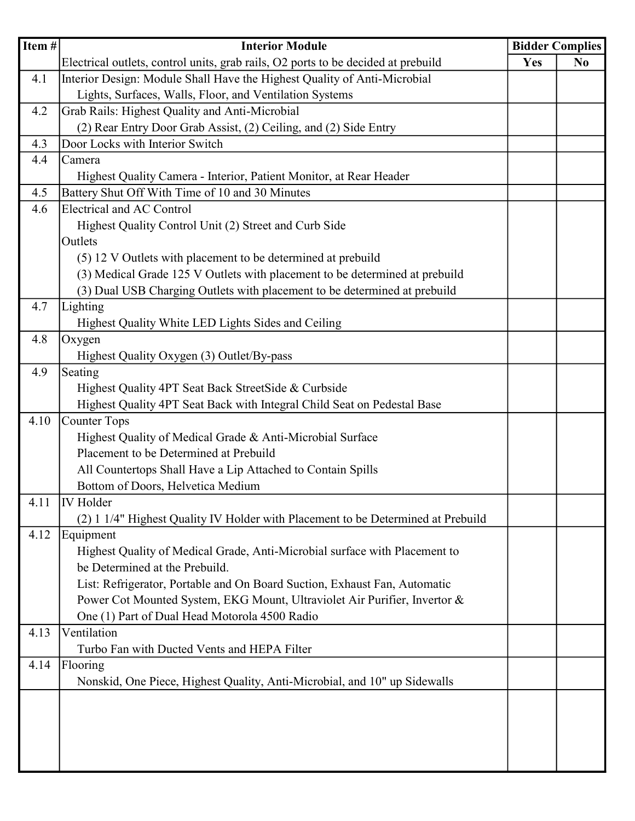| Item# | <b>Interior Module</b>                                                            | <b>Bidder Complies</b> |                |
|-------|-----------------------------------------------------------------------------------|------------------------|----------------|
|       | Electrical outlets, control units, grab rails, O2 ports to be decided at prebuild | Yes                    | N <sub>0</sub> |
| 4.1   | Interior Design: Module Shall Have the Highest Quality of Anti-Microbial          |                        |                |
|       | Lights, Surfaces, Walls, Floor, and Ventilation Systems                           |                        |                |
| 4.2   | Grab Rails: Highest Quality and Anti-Microbial                                    |                        |                |
|       | (2) Rear Entry Door Grab Assist, (2) Ceiling, and (2) Side Entry                  |                        |                |
| 4.3   | Door Locks with Interior Switch                                                   |                        |                |
| 4.4   | Camera                                                                            |                        |                |
|       | Highest Quality Camera - Interior, Patient Monitor, at Rear Header                |                        |                |
| 4.5   | Battery Shut Off With Time of 10 and 30 Minutes                                   |                        |                |
| 4.6   | <b>Electrical and AC Control</b>                                                  |                        |                |
|       | Highest Quality Control Unit (2) Street and Curb Side                             |                        |                |
|       | Outlets                                                                           |                        |                |
|       | (5) 12 V Outlets with placement to be determined at prebuild                      |                        |                |
|       | (3) Medical Grade 125 V Outlets with placement to be determined at prebuild       |                        |                |
|       | (3) Dual USB Charging Outlets with placement to be determined at prebuild         |                        |                |
| 4.7   | Lighting                                                                          |                        |                |
|       | Highest Quality White LED Lights Sides and Ceiling                                |                        |                |
| 4.8   | Oxygen                                                                            |                        |                |
|       | Highest Quality Oxygen (3) Outlet/By-pass                                         |                        |                |
| 4.9   | Seating                                                                           |                        |                |
|       | Highest Quality 4PT Seat Back StreetSide & Curbside                               |                        |                |
|       | Highest Quality 4PT Seat Back with Integral Child Seat on Pedestal Base           |                        |                |
| 4.10  | Counter Tops                                                                      |                        |                |
|       | Highest Quality of Medical Grade & Anti-Microbial Surface                         |                        |                |
|       | Placement to be Determined at Prebuild                                            |                        |                |
|       | All Countertops Shall Have a Lip Attached to Contain Spills                       |                        |                |
|       | Bottom of Doors, Helvetica Medium                                                 |                        |                |
| 4.11  | <b>IV</b> Holder                                                                  |                        |                |
|       | (2) 1 1/4" Highest Quality IV Holder with Placement to be Determined at Prebuild  |                        |                |
| 4.12  | Equipment                                                                         |                        |                |
|       | Highest Quality of Medical Grade, Anti-Microbial surface with Placement to        |                        |                |
|       | be Determined at the Prebuild.                                                    |                        |                |
|       | List: Refrigerator, Portable and On Board Suction, Exhaust Fan, Automatic         |                        |                |
|       | Power Cot Mounted System, EKG Mount, Ultraviolet Air Purifier, Invertor &         |                        |                |
|       | One (1) Part of Dual Head Motorola 4500 Radio                                     |                        |                |
| 4.13  | Ventilation                                                                       |                        |                |
|       | Turbo Fan with Ducted Vents and HEPA Filter                                       |                        |                |
| 4.14  | Flooring                                                                          |                        |                |
|       | Nonskid, One Piece, Highest Quality, Anti-Microbial, and 10" up Sidewalls         |                        |                |
|       |                                                                                   |                        |                |
|       |                                                                                   |                        |                |
|       |                                                                                   |                        |                |
|       |                                                                                   |                        |                |
|       |                                                                                   |                        |                |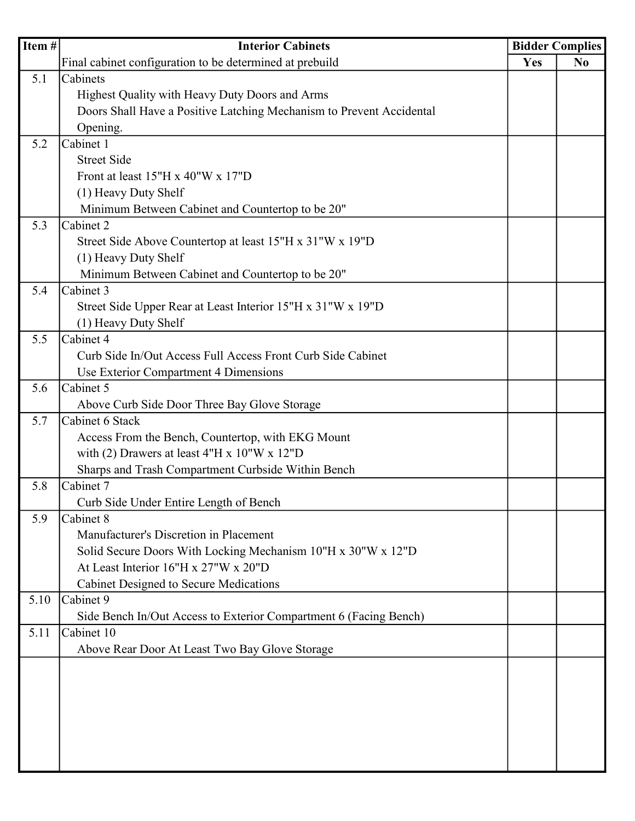| Item# | <b>Interior Cabinets</b>                                             | <b>Bidder Complies</b> |                |
|-------|----------------------------------------------------------------------|------------------------|----------------|
|       | Final cabinet configuration to be determined at prebuild             | Yes                    | N <sub>0</sub> |
| 5.1   | Cabinets                                                             |                        |                |
|       | Highest Quality with Heavy Duty Doors and Arms                       |                        |                |
|       | Doors Shall Have a Positive Latching Mechanism to Prevent Accidental |                        |                |
|       | Opening.                                                             |                        |                |
| 5.2   | Cabinet 1                                                            |                        |                |
|       | <b>Street Side</b>                                                   |                        |                |
|       | Front at least $15"H x 40"W x 17"D$                                  |                        |                |
|       | (1) Heavy Duty Shelf                                                 |                        |                |
|       | Minimum Between Cabinet and Countertop to be 20"                     |                        |                |
| 5.3   | Cabinet 2                                                            |                        |                |
|       | Street Side Above Countertop at least 15"H x 31"W x 19"D             |                        |                |
|       | (1) Heavy Duty Shelf                                                 |                        |                |
|       | Minimum Between Cabinet and Countertop to be 20"                     |                        |                |
| 5.4   | Cabinet 3                                                            |                        |                |
|       | Street Side Upper Rear at Least Interior 15"H x 31"W x 19"D          |                        |                |
|       | (1) Heavy Duty Shelf                                                 |                        |                |
| 5.5   | Cabinet 4                                                            |                        |                |
|       | Curb Side In/Out Access Full Access Front Curb Side Cabinet          |                        |                |
|       | Use Exterior Compartment 4 Dimensions                                |                        |                |
| 5.6   | Cabinet 5                                                            |                        |                |
|       | Above Curb Side Door Three Bay Glove Storage                         |                        |                |
| 5.7   | Cabinet 6 Stack                                                      |                        |                |
|       | Access From the Bench, Countertop, with EKG Mount                    |                        |                |
|       | with (2) Drawers at least $4"H x 10"W x 12"D$                        |                        |                |
|       | Sharps and Trash Compartment Curbside Within Bench                   |                        |                |
| 5.8   | Cabinet 7                                                            |                        |                |
|       | Curb Side Under Entire Length of Bench                               |                        |                |
| 5.9   | Cabinet 8                                                            |                        |                |
|       | Manufacturer's Discretion in Placement                               |                        |                |
|       | Solid Secure Doors With Locking Mechanism 10"H x 30"W x 12"D         |                        |                |
|       | At Least Interior 16"H x 27"W x 20"D                                 |                        |                |
|       | Cabinet Designed to Secure Medications                               |                        |                |
| 5.10  | Cabinet 9                                                            |                        |                |
|       | Side Bench In/Out Access to Exterior Compartment 6 (Facing Bench)    |                        |                |
| 5.11  | Cabinet 10                                                           |                        |                |
|       | Above Rear Door At Least Two Bay Glove Storage                       |                        |                |
|       |                                                                      |                        |                |
|       |                                                                      |                        |                |
|       |                                                                      |                        |                |
|       |                                                                      |                        |                |
|       |                                                                      |                        |                |
|       |                                                                      |                        |                |
|       |                                                                      |                        |                |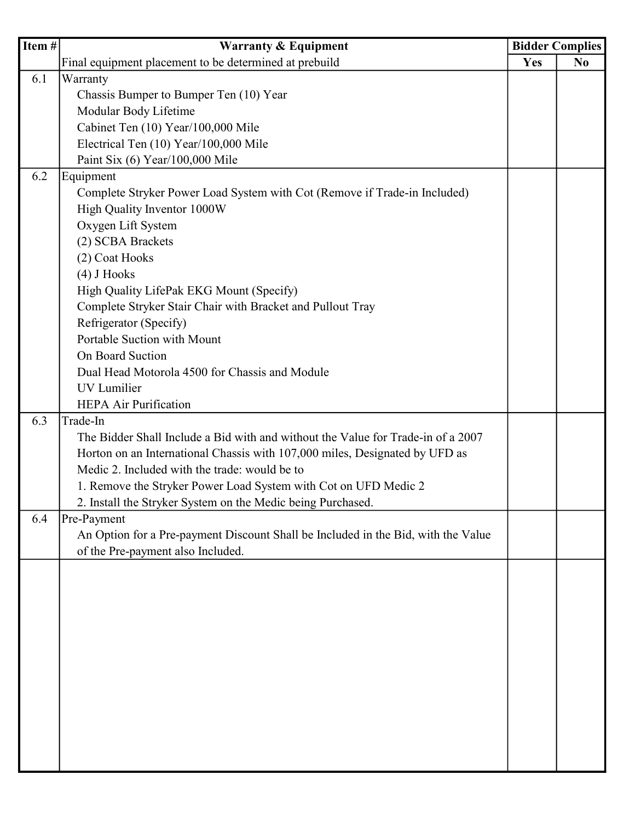| Item# | <b>Warranty &amp; Equipment</b>                                                   | <b>Bidder Complies</b> |                |
|-------|-----------------------------------------------------------------------------------|------------------------|----------------|
|       | Final equipment placement to be determined at prebuild                            | Yes                    | N <sub>0</sub> |
| 6.1   | Warranty                                                                          |                        |                |
|       | Chassis Bumper to Bumper Ten (10) Year                                            |                        |                |
|       | Modular Body Lifetime                                                             |                        |                |
|       | Cabinet Ten (10) Year/100,000 Mile                                                |                        |                |
|       | Electrical Ten (10) Year/100,000 Mile                                             |                        |                |
|       | Paint Six (6) Year/100,000 Mile                                                   |                        |                |
| 6.2   | Equipment                                                                         |                        |                |
|       | Complete Stryker Power Load System with Cot (Remove if Trade-in Included)         |                        |                |
|       | High Quality Inventor 1000W                                                       |                        |                |
|       | Oxygen Lift System                                                                |                        |                |
|       | (2) SCBA Brackets                                                                 |                        |                |
|       | (2) Coat Hooks                                                                    |                        |                |
|       | $(4)$ J Hooks                                                                     |                        |                |
|       | High Quality LifePak EKG Mount (Specify)                                          |                        |                |
|       | Complete Stryker Stair Chair with Bracket and Pullout Tray                        |                        |                |
|       | Refrigerator (Specify)                                                            |                        |                |
|       | Portable Suction with Mount                                                       |                        |                |
|       | On Board Suction                                                                  |                        |                |
|       | Dual Head Motorola 4500 for Chassis and Module                                    |                        |                |
|       | UV Lumilier                                                                       |                        |                |
|       | <b>HEPA Air Purification</b>                                                      |                        |                |
| 6.3   | Trade-In                                                                          |                        |                |
|       | The Bidder Shall Include a Bid with and without the Value for Trade-in of a 2007  |                        |                |
|       | Horton on an International Chassis with 107,000 miles, Designated by UFD as       |                        |                |
|       | Medic 2. Included with the trade: would be to                                     |                        |                |
|       | 1. Remove the Stryker Power Load System with Cot on UFD Medic 2                   |                        |                |
|       | 2. Install the Stryker System on the Medic being Purchased.                       |                        |                |
| 6.4   | Pre-Payment                                                                       |                        |                |
|       | An Option for a Pre-payment Discount Shall be Included in the Bid, with the Value |                        |                |
|       | of the Pre-payment also Included.                                                 |                        |                |
|       |                                                                                   |                        |                |
|       |                                                                                   |                        |                |
|       |                                                                                   |                        |                |
|       |                                                                                   |                        |                |
|       |                                                                                   |                        |                |
|       |                                                                                   |                        |                |
|       |                                                                                   |                        |                |
|       |                                                                                   |                        |                |
|       |                                                                                   |                        |                |
|       |                                                                                   |                        |                |
|       |                                                                                   |                        |                |
|       |                                                                                   |                        |                |
|       |                                                                                   |                        |                |
|       |                                                                                   |                        |                |